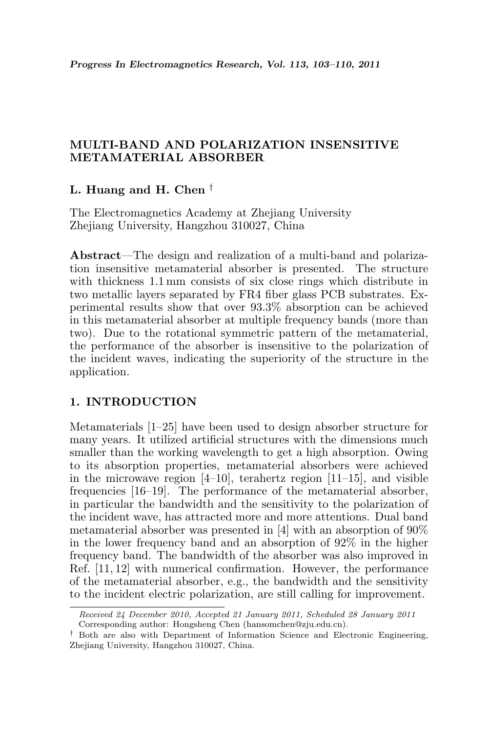# MULTI-BAND AND POLARIZATION INSENSITIVE METAMATERIAL ABSORBER

# L. Huang and H. Chen †

The Electromagnetics Academy at Zhejiang University Zhejiang University, Hangzhou 310027, China

Abstract—The design and realization of a multi-band and polarization insensitive metamaterial absorber is presented. The structure with thickness 1.1 mm consists of six close rings which distribute in two metallic layers separated by FR4 fiber glass PCB substrates. Experimental results show that over 93.3% absorption can be achieved in this metamaterial absorber at multiple frequency bands (more than two). Due to the rotational symmetric pattern of the metamaterial, the performance of the absorber is insensitive to the polarization of the incident waves, indicating the superiority of the structure in the application.

## 1. INTRODUCTION

Metamaterials [1–25] have been used to design absorber structure for many years. It utilized artificial structures with the dimensions much smaller than the working wavelength to get a high absorption. Owing to its absorption properties, metamaterial absorbers were achieved in the microwave region  $[4–10]$ , terahertz region  $[11–15]$ , and visible frequencies [16–19]. The performance of the metamaterial absorber, in particular the bandwidth and the sensitivity to the polarization of the incident wave, has attracted more and more attentions. Dual band metamaterial absorber was presented in [4] with an absorption of 90% in the lower frequency band and an absorption of 92% in the higher frequency band. The bandwidth of the absorber was also improved in Ref. [11, 12] with numerical confirmation. However, the performance of the metamaterial absorber, e.g., the bandwidth and the sensitivity to the incident electric polarization, are still calling for improvement.

Received 24 December 2010, Accepted 21 January 2011, Scheduled 28 January 2011 Corresponding author: Hongsheng Chen (hansomchen@zju.edu.cn).

<sup>&</sup>lt;sup> $\dagger$ </sup> Both are also with Department of Information Science and Electronic Engineering, Zhejiang University, Hangzhou 310027, China.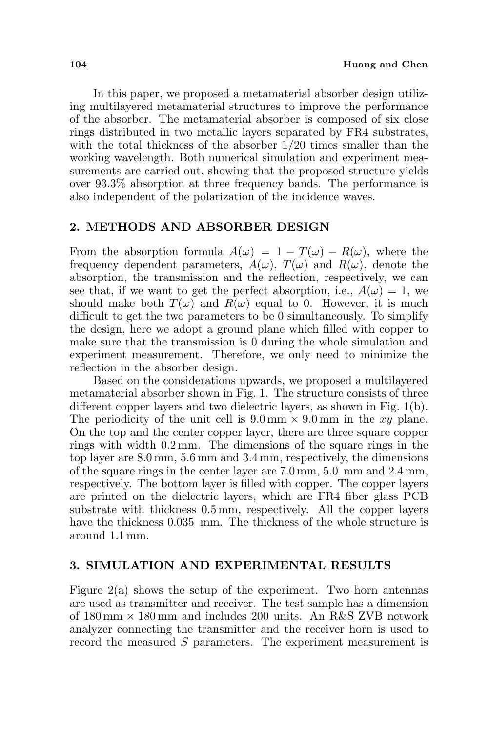In this paper, we proposed a metamaterial absorber design utilizing multilayered metamaterial structures to improve the performance of the absorber. The metamaterial absorber is composed of six close rings distributed in two metallic layers separated by FR4 substrates, with the total thickness of the absorber 1/20 times smaller than the working wavelength. Both numerical simulation and experiment measurements are carried out, showing that the proposed structure yields over 93.3% absorption at three frequency bands. The performance is also independent of the polarization of the incidence waves.

## 2. METHODS AND ABSORBER DESIGN

From the absorption formula  $A(\omega) = 1 - T(\omega) - R(\omega)$ , where the frequency dependent parameters,  $A(\omega)$ ,  $T(\omega)$  and  $R(\omega)$ , denote the absorption, the transmission and the reflection, respectively, we can see that, if we want to get the perfect absorption, i.e.,  $A(\omega) = 1$ , we should make both  $T(\omega)$  and  $R(\omega)$  equal to 0. However, it is much difficult to get the two parameters to be 0 simultaneously. To simplify the design, here we adopt a ground plane which filled with copper to make sure that the transmission is 0 during the whole simulation and experiment measurement. Therefore, we only need to minimize the reflection in the absorber design.

Based on the considerations upwards, we proposed a multilayered metamaterial absorber shown in Fig. 1. The structure consists of three different copper layers and two dielectric layers, as shown in Fig. 1(b). The periodicity of the unit cell is  $9.0 \text{ mm} \times 9.0 \text{ mm}$  in the xy plane. On the top and the center copper layer, there are three square copper rings with width 0.2 mm. The dimensions of the square rings in the top layer are 8.0 mm, 5.6 mm and 3.4 mm, respectively, the dimensions of the square rings in the center layer are 7.0 mm, 5.0 mm and 2.4 mm, respectively. The bottom layer is filled with copper. The copper layers are printed on the dielectric layers, which are FR4 fiber glass PCB substrate with thickness 0.5 mm, respectively. All the copper layers have the thickness 0.035 mm. The thickness of the whole structure is around 1.1 mm.

#### 3. SIMULATION AND EXPERIMENTAL RESULTS

Figure 2(a) shows the setup of the experiment. Two horn antennas are used as transmitter and receiver. The test sample has a dimension of  $180 \text{ mm} \times 180 \text{ mm}$  and includes 200 units. An R&S ZVB network analyzer connecting the transmitter and the receiver horn is used to record the measured S parameters. The experiment measurement is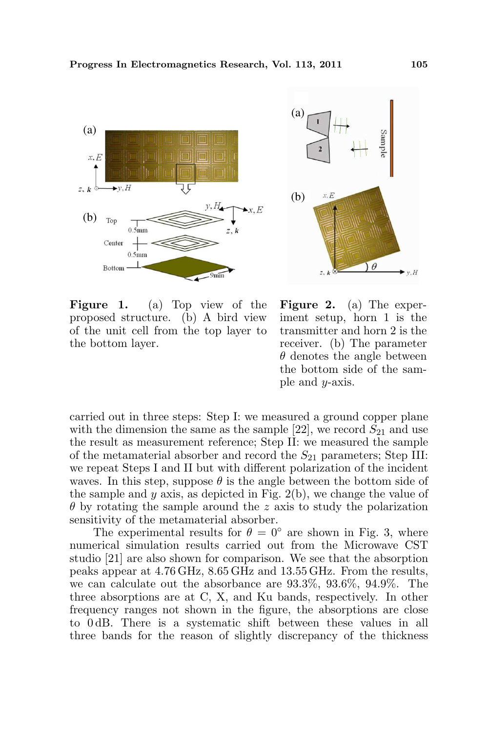



Figure 1. (a) Top view of the proposed structure. (b) A bird view of the unit cell from the top layer to the bottom layer.

Figure 2. (a) The experiment setup, horn 1 is the transmitter and horn 2 is the receiver. (b) The parameter  $\theta$  denotes the angle between the bottom side of the sample and  $y$ -axis.

carried out in three steps: Step I: we measured a ground copper plane with the dimension the same as the sample [22], we record  $S_{21}$  and use the result as measurement reference; Step II: we measured the sample of the metamaterial absorber and record the  $S_{21}$  parameters; Step III: we repeat Steps I and II but with different polarization of the incident waves. In this step, suppose  $\theta$  is the angle between the bottom side of the sample and  $y$  axis, as depicted in Fig. 2(b), we change the value of  $\theta$  by rotating the sample around the z axis to study the polarization sensitivity of the metamaterial absorber.

The experimental results for  $\theta = 0^{\circ}$  are shown in Fig. 3, where numerical simulation results carried out from the Microwave CST studio [21] are also shown for comparison. We see that the absorption peaks appear at 4.76 GHz, 8.65 GHz and 13.55 GHz. From the results, we can calculate out the absorbance are 93.3%, 93.6%, 94.9%. The three absorptions are at C, X, and Ku bands, respectively. In other frequency ranges not shown in the figure, the absorptions are close to 0 dB. There is a systematic shift between these values in all three bands for the reason of slightly discrepancy of the thickness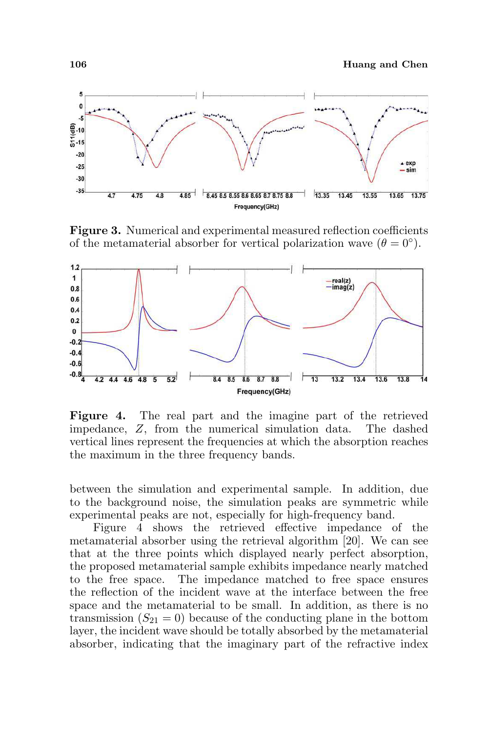106 Huang and Chen



Figure 3. Numerical and experimental measured reflection coefficients of the metamaterial absorber for vertical polarization wave  $(\theta = 0^{\circ})$ .



Figure 4. The real part and the imagine part of the retrieved impedance, Z, from the numerical simulation data. The dashed vertical lines represent the frequencies at which the absorption reaches the maximum in the three frequency bands.

between the simulation and experimental sample. In addition, due to the background noise, the simulation peaks are symmetric while experimental peaks are not, especially for high-frequency band.

Figure 4 shows the retrieved effective impedance of the metamaterial absorber using the retrieval algorithm [20]. We can see that at the three points which displayed nearly perfect absorption, the proposed metamaterial sample exhibits impedance nearly matched to the free space. The impedance matched to free space ensures the reflection of the incident wave at the interface between the free space and the metamaterial to be small. In addition, as there is no transmission  $(S_{21} = 0)$  because of the conducting plane in the bottom layer, the incident wave should be totally absorbed by the metamaterial absorber, indicating that the imaginary part of the refractive index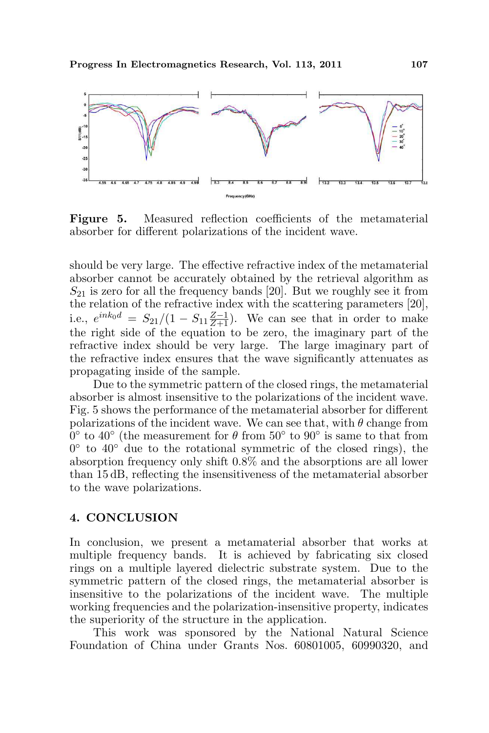

Figure 5. Measured reflection coefficients of the metamaterial absorber for different polarizations of the incident wave.

should be very large. The effective refractive index of the metamaterial absorber cannot be accurately obtained by the retrieval algorithm as  $S_{21}$  is zero for all the frequency bands [20]. But we roughly see it from the relation of the refractive index with the scattering parameters [20], i.e.,  $e^{ink_0d} = S_{21}/(1 - S_{11} \frac{Z-1}{Z+1})$ . We can see that in order to make the right side of the equation to be zero, the imaginary part of the refractive index should be very large. The large imaginary part of the refractive index ensures that the wave significantly attenuates as propagating inside of the sample.

Due to the symmetric pattern of the closed rings, the metamaterial absorber is almost insensitive to the polarizations of the incident wave. Fig. 5 shows the performance of the metamaterial absorber for different polarizations of the incident wave. We can see that, with  $\theta$  change from  $\hat{0}^{\circ}$  to 40° (the measurement for  $\theta$  from 50° to 90° is same to that from  $0^{\circ}$  to  $40^{\circ}$  due to the rotational symmetric of the closed rings), the absorption frequency only shift 0.8% and the absorptions are all lower than 15 dB, reflecting the insensitiveness of the metamaterial absorber to the wave polarizations.

#### 4. CONCLUSION

In conclusion, we present a metamaterial absorber that works at multiple frequency bands. It is achieved by fabricating six closed rings on a multiple layered dielectric substrate system. Due to the symmetric pattern of the closed rings, the metamaterial absorber is insensitive to the polarizations of the incident wave. The multiple working frequencies and the polarization-insensitive property, indicates the superiority of the structure in the application.

This work was sponsored by the National Natural Science Foundation of China under Grants Nos. 60801005, 60990320, and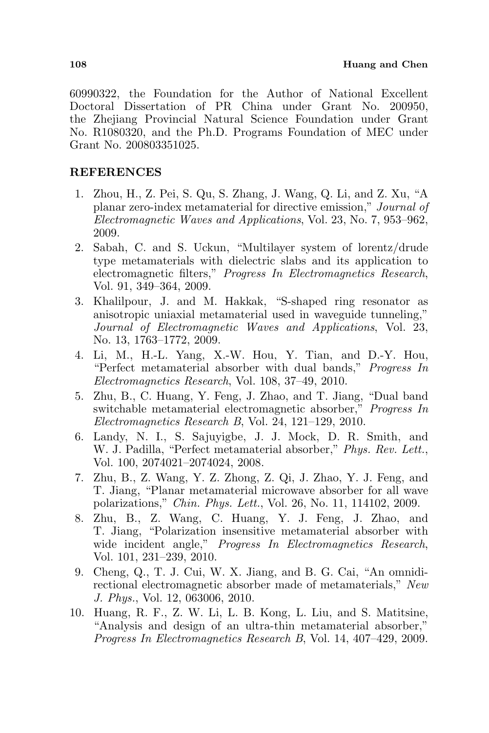60990322, the Foundation for the Author of National Excellent Doctoral Dissertation of PR China under Grant No. 200950, the Zhejiang Provincial Natural Science Foundation under Grant No. R1080320, and the Ph.D. Programs Foundation of MEC under Grant No. 200803351025.

# REFERENCES

- 1. Zhou, H., Z. Pei, S. Qu, S. Zhang, J. Wang, Q. Li, and Z. Xu, "A planar zero-index metamaterial for directive emission," Journal of Electromagnetic Waves and Applications, Vol. 23, No. 7, 953–962, 2009.
- 2. Sabah, C. and S. Uckun, "Multilayer system of lorentz/drude type metamaterials with dielectric slabs and its application to electromagnetic filters," Progress In Electromagnetics Research, Vol. 91, 349–364, 2009.
- 3. Khalilpour, J. and M. Hakkak, "S-shaped ring resonator as anisotropic uniaxial metamaterial used in waveguide tunneling," Journal of Electromagnetic Waves and Applications, Vol. 23, No. 13, 1763–1772, 2009.
- 4. Li, M., H.-L. Yang, X.-W. Hou, Y. Tian, and D.-Y. Hou, "Perfect metamaterial absorber with dual bands," Progress In Electromagnetics Research, Vol. 108, 37–49, 2010.
- 5. Zhu, B., C. Huang, Y. Feng, J. Zhao, and T. Jiang, "Dual band switchable metamaterial electromagnetic absorber," Progress In Electromagnetics Research B, Vol. 24, 121–129, 2010.
- 6. Landy, N. I., S. Sajuyigbe, J. J. Mock, D. R. Smith, and W. J. Padilla, "Perfect metamaterial absorber," Phys. Rev. Lett., Vol. 100, 2074021–2074024, 2008.
- 7. Zhu, B., Z. Wang, Y. Z. Zhong, Z. Qi, J. Zhao, Y. J. Feng, and T. Jiang, "Planar metamaterial microwave absorber for all wave polarizations," Chin. Phys. Lett., Vol. 26, No. 11, 114102, 2009.
- 8. Zhu, B., Z. Wang, C. Huang, Y. J. Feng, J. Zhao, and T. Jiang, "Polarization insensitive metamaterial absorber with wide incident angle," Progress In Electromagnetics Research, Vol. 101, 231–239, 2010.
- 9. Cheng, Q., T. J. Cui, W. X. Jiang, and B. G. Cai, "An omnidirectional electromagnetic absorber made of metamaterials," New J. Phys., Vol. 12, 063006, 2010.
- 10. Huang, R. F., Z. W. Li, L. B. Kong, L. Liu, and S. Matitsine, "Analysis and design of an ultra-thin metamaterial absorber," Progress In Electromagnetics Research B, Vol. 14, 407–429, 2009.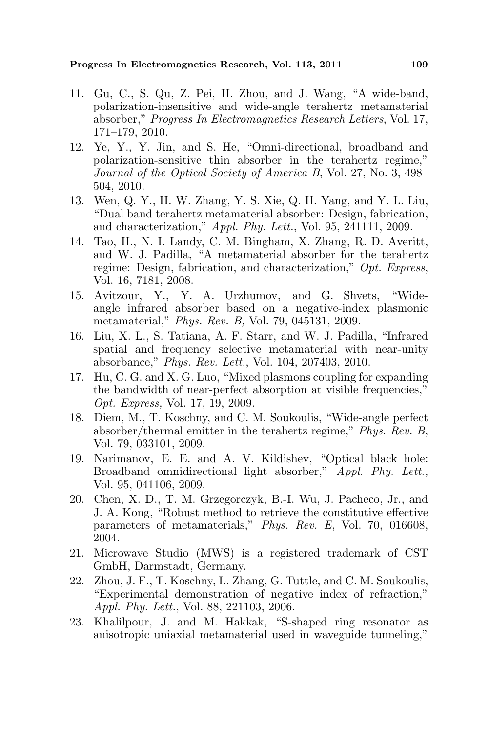- 11. Gu, C., S. Qu, Z. Pei, H. Zhou, and J. Wang, "A wide-band, polarization-insensitive and wide-angle terahertz metamaterial absorber," Progress In Electromagnetics Research Letters, Vol. 17, 171–179, 2010.
- 12. Ye, Y., Y. Jin, and S. He, "Omni-directional, broadband and polarization-sensitive thin absorber in the terahertz regime," Journal of the Optical Society of America B, Vol. 27, No. 3, 498– 504, 2010.
- 13. Wen, Q. Y., H. W. Zhang, Y. S. Xie, Q. H. Yang, and Y. L. Liu, "Dual band terahertz metamaterial absorber: Design, fabrication, and characterization," Appl. Phy. Lett., Vol. 95, 241111, 2009.
- 14. Tao, H., N. I. Landy, C. M. Bingham, X. Zhang, R. D. Averitt, and W. J. Padilla, "A metamaterial absorber for the terahertz regime: Design, fabrication, and characterization," Opt. Express, Vol. 16, 7181, 2008.
- 15. Avitzour, Y., Y. A. Urzhumov, and G. Shvets, "Wideangle infrared absorber based on a negative-index plasmonic metamaterial," Phys. Rev. B, Vol. 79, 045131, 2009.
- 16. Liu, X. L., S. Tatiana, A. F. Starr, and W. J. Padilla, "Infrared spatial and frequency selective metamaterial with near-unity absorbance," Phys. Rev. Lett., Vol. 104, 207403, 2010.
- 17. Hu, C. G. and X. G. Luo, "Mixed plasmons coupling for expanding the bandwidth of near-perfect absorption at visible frequencies," Opt. Express, Vol. 17, 19, 2009.
- 18. Diem, M., T. Koschny, and C. M. Soukoulis, "Wide-angle perfect absorber/thermal emitter in the terahertz regime," Phys. Rev. B, Vol. 79, 033101, 2009.
- 19. Narimanov, E. E. and A. V. Kildishev, "Optical black hole: Broadband omnidirectional light absorber," Appl. Phy. Lett., Vol. 95, 041106, 2009.
- 20. Chen, X. D., T. M. Grzegorczyk, B.-I. Wu, J. Pacheco, Jr., and J. A. Kong, "Robust method to retrieve the constitutive effective parameters of metamaterials," Phys. Rev. E, Vol. 70, 016608, 2004.
- 21. Microwave Studio (MWS) is a registered trademark of CST GmbH, Darmstadt, Germany.
- 22. Zhou, J. F., T. Koschny, L. Zhang, G. Tuttle, and C. M. Soukoulis, "Experimental demonstration of negative index of refraction," Appl. Phy. Lett., Vol. 88, 221103, 2006.
- 23. Khalilpour, J. and M. Hakkak, "S-shaped ring resonator as anisotropic uniaxial metamaterial used in waveguide tunneling,"